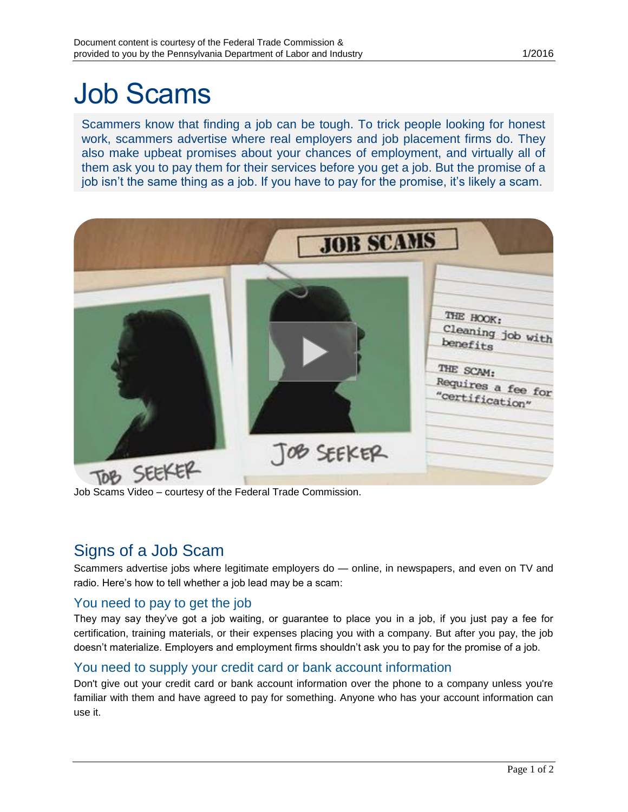# Job Scams

Scammers know that finding a job can be tough. To trick people looking for honest work, scammers advertise where real employers and job placement firms do. They also make upbeat promises about your chances of employment, and virtually all of them ask you to pay them for their services before you get a job. But the promise of a job isn't the same thing as a job. If you have to pay for the promise, it's likely a scam.



Job Scams Video – courtesy of the Federal Trade Commission.

## Signs of a Job Scam

Scammers advertise jobs where legitimate employers do — online, in newspapers, and even on TV and radio. Here's how to tell whether a job lead may be a scam:

#### You need to pay to get the job

They may say they've got a job waiting, or guarantee to place you in a job, if you just pay a fee for certification, training materials, or their expenses placing you with a company. But after you pay, the job doesn't materialize. Employers and employment firms shouldn't ask you to pay for the promise of a job.

#### You need to supply your credit card or bank account information

Don't give out your credit card or bank account information over the phone to a company unless you're familiar with them and have agreed to pay for something. Anyone who has your account information can use it.